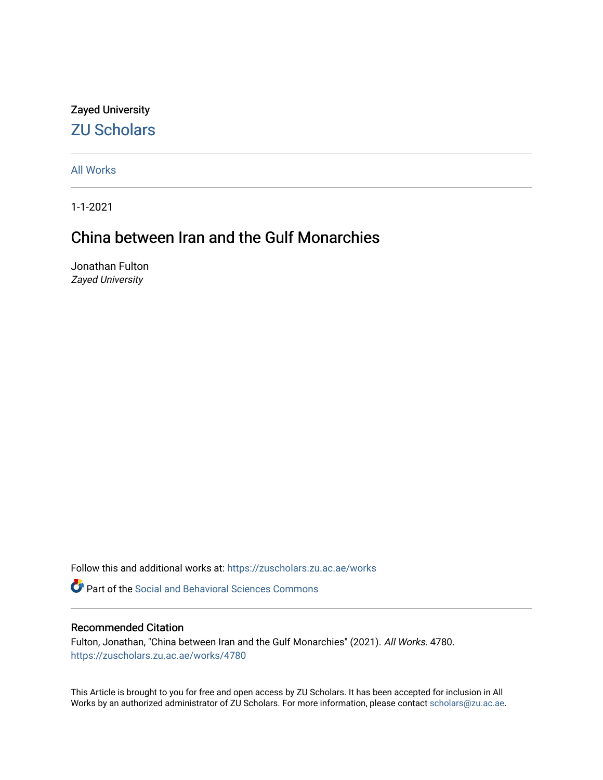## Zayed University [ZU Scholars](https://zuscholars.zu.ac.ae/)

[All Works](https://zuscholars.zu.ac.ae/works)

1-1-2021

# China between Iran and the Gulf Monarchies

Jonathan Fulton Zayed University

Follow this and additional works at: [https://zuscholars.zu.ac.ae/works](https://zuscholars.zu.ac.ae/works?utm_source=zuscholars.zu.ac.ae%2Fworks%2F4780&utm_medium=PDF&utm_campaign=PDFCoverPages)

**Part of the Social and Behavioral Sciences Commons** 

## Recommended Citation

Fulton, Jonathan, "China between Iran and the Gulf Monarchies" (2021). All Works. 4780. [https://zuscholars.zu.ac.ae/works/4780](https://zuscholars.zu.ac.ae/works/4780?utm_source=zuscholars.zu.ac.ae%2Fworks%2F4780&utm_medium=PDF&utm_campaign=PDFCoverPages)

This Article is brought to you for free and open access by ZU Scholars. It has been accepted for inclusion in All Works by an authorized administrator of ZU Scholars. For more information, please contact [scholars@zu.ac.ae](mailto:scholars@zu.ac.ae).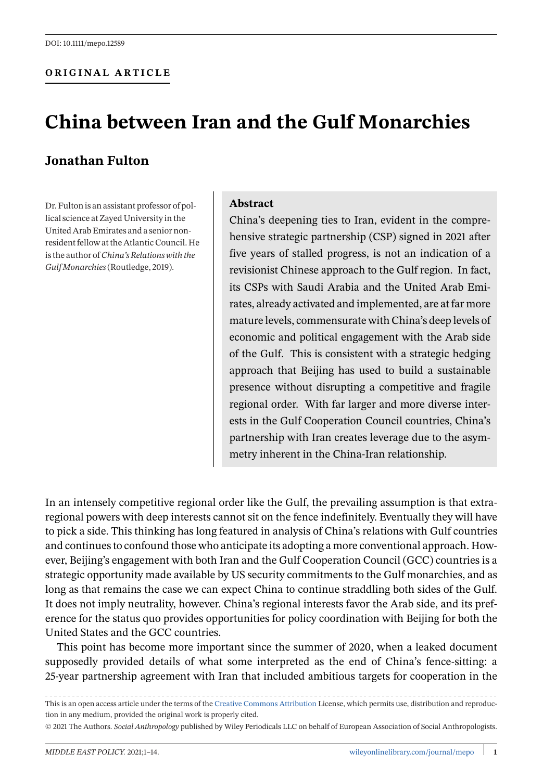### **ORIGINAL ARTICLE**

# **China between Iran and the Gulf Monarchies**

## **Jonathan Fulton**

Dr. Fulton is an assistant professor of pollical science at Zayed University in the United Arab Emirates and a senior nonresident fellow at the Atlantic Council. He is the author of*China's Relations with the Gulf Monarchies*(Routledge, 2019).

#### **Abstract**

China's deepening ties to Iran, evident in the comprehensive strategic partnership (CSP) signed in 2021 after five years of stalled progress, is not an indication of a revisionist Chinese approach to the Gulf region. In fact, its CSPs with Saudi Arabia and the United Arab Emirates, already activated and implemented, are at far more mature levels, commensurate with China's deep levels of economic and political engagement with the Arab side of the Gulf. This is consistent with a strategic hedging approach that Beijing has used to build a sustainable presence without disrupting a competitive and fragile regional order. With far larger and more diverse interests in the Gulf Cooperation Council countries, China's partnership with Iran creates leverage due to the asymmetry inherent in the China-Iran relationship.

In an intensely competitive regional order like the Gulf, the prevailing assumption is that extraregional powers with deep interests cannot sit on the fence indefinitely. Eventually they will have to pick a side. This thinking has long featured in analysis of China's relations with Gulf countries and continues to confound those who anticipate its adopting a more conventional approach. However, Beijing's engagement with both Iran and the Gulf Cooperation Council (GCC) countries is a strategic opportunity made available by US security commitments to the Gulf monarchies, and as long as that remains the case we can expect China to continue straddling both sides of the Gulf. It does not imply neutrality, however. China's regional interests favor the Arab side, and its preference for the status quo provides opportunities for policy coordination with Beijing for both the United States and the GCC countries.

This point has become more important since the summer of 2020, when a leaked document supposedly provided details of what some interpreted as the end of China's fence-sitting: a 25-year partnership agreement with Iran that included ambitious targets for cooperation in the

This is an open access article under the terms of the [Creative Commons Attribution](http://creativecommons.org/licenses/by/4.0/) License, which permits use, distribution and reproduction in any medium, provided the original work is properly cited.

© 2021 The Authors. *Social Anthropology* published by Wiley Periodicals LLC on behalf of European Association of Social Anthropologists.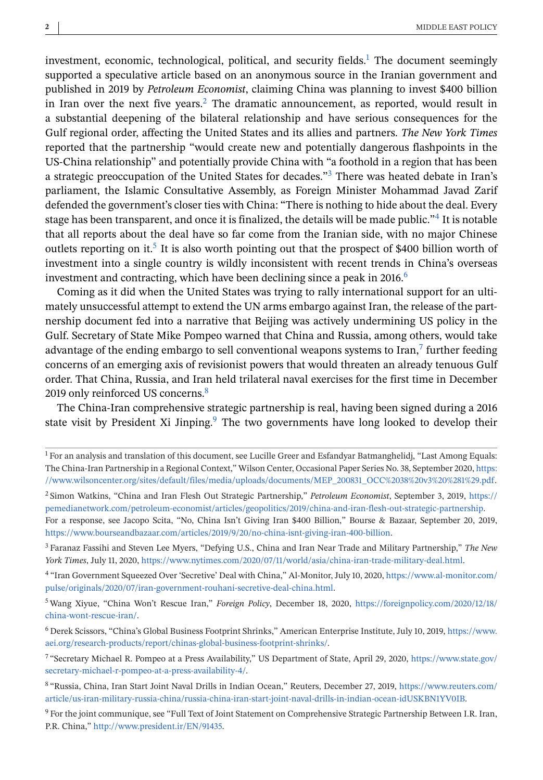investment, economic, technological, political, and security fields.<sup>1</sup> The document seemingly supported a speculative article based on an anonymous source in the Iranian government and published in 2019 by *Petroleum Economist*, claiming China was planning to invest \$400 billion in Iran over the next five years.<sup>2</sup> The dramatic announcement, as reported, would result in a substantial deepening of the bilateral relationship and have serious consequences for the Gulf regional order, affecting the United States and its allies and partners. *The New York Times* reported that the partnership "would create new and potentially dangerous flashpoints in the US-China relationship" and potentially provide China with "a foothold in a region that has been a strategic preoccupation of the United States for decades."<sup>3</sup> There was heated debate in Iran's parliament, the Islamic Consultative Assembly, as Foreign Minister Mohammad Javad Zarif defended the government's closer ties with China: "There is nothing to hide about the deal. Every stage has been transparent, and once it is finalized, the details will be made public."4 It is notable that all reports about the deal have so far come from the Iranian side, with no major Chinese outlets reporting on it.<sup>5</sup> It is also worth pointing out that the prospect of \$400 billion worth of investment into a single country is wildly inconsistent with recent trends in China's overseas investment and contracting, which have been declining since a peak in 2016.<sup>6</sup>

Coming as it did when the United States was trying to rally international support for an ultimately unsuccessful attempt to extend the UN arms embargo against Iran, the release of the partnership document fed into a narrative that Beijing was actively undermining US policy in the Gulf. Secretary of State Mike Pompeo warned that China and Russia, among others, would take advantage of the ending embargo to sell conventional weapons systems to Iran, $\frac{7}{7}$  further feeding concerns of an emerging axis of revisionist powers that would threaten an already tenuous Gulf order. That China, Russia, and Iran held trilateral naval exercises for the first time in December 2019 only reinforced US concerns.<sup>8</sup>

The China-Iran comprehensive strategic partnership is real, having been signed during a 2016 state visit by President Xi Jinping. $9$  The two governments have long looked to develop their

<sup>1</sup> For an analysis and translation of this document, see Lucille Greer and Esfandyar Batmanghelidj, "Last Among Equals: The China-Iran Partnership in a Regional Context," Wilson Center, Occasional Paper Series No. 38, September 2020, [https:](https://www.wilsoncenter.org/sites/default/files/media/uploads/documents/MEP_200831_OCC%2038%20v3%20%281%29.pdf) [//www.wilsoncenter.org/sites/default/files/media/uploads/documents/MEP\\_200831\\_OCC%2038%20v3%20%281%29.pdf.](https://www.wilsoncenter.org/sites/default/files/media/uploads/documents/MEP_200831_OCC%2038%20v3%20%281%29.pdf)

<sup>2</sup> Simon Watkins, "China and Iran Flesh Out Strategic Partnership," *Petroleum Economist*, September 3, 2019, [https://](https://pemedianetwork.com/petroleum-economist/articles/geopolitics/2019/china-and-iran-flesh-out-strategic-partnership) [pemedianetwork.com/petroleum-economist/articles/geopolitics/2019/china-and-iran-flesh-out-strategic-partnership.](https://pemedianetwork.com/petroleum-economist/articles/geopolitics/2019/china-and-iran-flesh-out-strategic-partnership) For a response, see Jacopo Scita, "No, China Isn't Giving Iran \$400 Billion," Bourse & Bazaar, September 20, 2019, [https://www.bourseandbazaar.com/articles/2019/9/20/no-china-isnt-giving-iran-400-billion.](https://www.bourseandbazaar.com/articles/2019/9/20/no-china-isnt-giving-iran-400-billion)

<sup>3</sup> Faranaz Fassihi and Steven Lee Myers, "Defying U.S., China and Iran Near Trade and Military Partnership," *The New York Times*, July 11, 2020, [https://www.nytimes.com/2020/07/11/world/asia/china-iran-trade-military-deal.html.](https://www.nytimes.com/2020/07/11/world/asia/china-iran-trade-military-deal.html)

<sup>4</sup> "Iran Government Squeezed Over 'Secretive' Deal with China," Al-Monitor, July 10, 2020, [https://www.al-monitor.com/](https://www.al-monitor.com/pulse/originals/2020/07/iran-government-rouhani-secretive-deal-china.html) [pulse/originals/2020/07/iran-government-rouhani-secretive-deal-china.html.](https://www.al-monitor.com/pulse/originals/2020/07/iran-government-rouhani-secretive-deal-china.html)

<sup>5</sup> Wang Xiyue, "China Won't Rescue Iran," *Foreign Policy*, December 18, 2020, [https://foreignpolicy.com/2020/12/18/](https://foreignpolicy.com/2020/12/18/china-wont-rescue-iran/) [china-wont-rescue-iran/.](https://foreignpolicy.com/2020/12/18/china-wont-rescue-iran/)

<sup>6</sup> Derek Scissors, "China's Global Business Footprint Shrinks," American Enterprise Institute, July 10, 2019, [https://www.](https://www.aei.org/research-products/report/chinas-global-business-footprint-shrinks/) [aei.org/research-products/report/chinas-global-business-footprint-shrinks/.](https://www.aei.org/research-products/report/chinas-global-business-footprint-shrinks/)

<sup>7</sup> "Secretary Michael R. Pompeo at a Press Availability," US Department of State, April 29, 2020, [https://www.state.gov/](https://www.state.gov/secretary-michael-r-pompeo-at-a-press-availability-4/) [secretary-michael-r-pompeo-at-a-press-availability-4/.](https://www.state.gov/secretary-michael-r-pompeo-at-a-press-availability-4/)

<sup>8</sup> "Russia, China, Iran Start Joint Naval Drills in Indian Ocean," Reuters, December 27, 2019, [https://www.reuters.com/](https://www.reuters.com/article/us-iran-military-russia-china/russia-china-iran-start-joint-naval-drills-in-indian-ocean-idUSKBN1YV0IB) [article/us-iran-military-russia-china/russia-china-iran-start-joint-naval-drills-in-indian-ocean-idUSKBN1YV0IB.](https://www.reuters.com/article/us-iran-military-russia-china/russia-china-iran-start-joint-naval-drills-in-indian-ocean-idUSKBN1YV0IB)

<sup>9</sup> For the joint communique, see "Full Text of Joint Statement on Comprehensive Strategic Partnership Between I.R. Iran, P.R. China," [http://www.president.ir/EN/91435.](http://www.president.ir/EN/91435)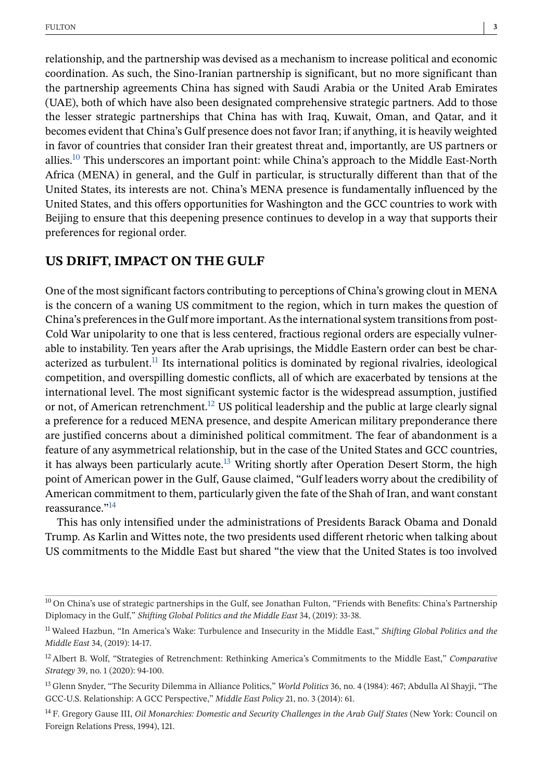relationship, and the partnership was devised as a mechanism to increase political and economic coordination. As such, the Sino-Iranian partnership is significant, but no more significant than the partnership agreements China has signed with Saudi Arabia or the United Arab Emirates (UAE), both of which have also been designated comprehensive strategic partners. Add to those the lesser strategic partnerships that China has with Iraq, Kuwait, Oman, and Qatar, and it becomes evident that China's Gulf presence does not favor Iran; if anything, it is heavily weighted in favor of countries that consider Iran their greatest threat and, importantly, are US partners or allies.<sup>10</sup> This underscores an important point: while China's approach to the Middle East-North Africa (MENA) in general, and the Gulf in particular, is structurally different than that of the United States, its interests are not. China's MENA presence is fundamentally influenced by the United States, and this offers opportunities for Washington and the GCC countries to work with Beijing to ensure that this deepening presence continues to develop in a way that supports their preferences for regional order.

## **US DRIFT, IMPACT ON THE GULF**

One of the most significant factors contributing to perceptions of China's growing clout in MENA is the concern of a waning US commitment to the region, which in turn makes the question of China's preferences in the Gulf more important. As the international system transitions from post-Cold War unipolarity to one that is less centered, fractious regional orders are especially vulnerable to instability. Ten years after the Arab uprisings, the Middle Eastern order can best be characterized as turbulent. $<sup>11</sup>$  Its international politics is dominated by regional rivalries, ideological</sup> competition, and overspilling domestic conflicts, all of which are exacerbated by tensions at the international level. The most significant systemic factor is the widespread assumption, justified or not, of American retrenchment.<sup>12</sup> US political leadership and the public at large clearly signal a preference for a reduced MENA presence, and despite American military preponderance there are justified concerns about a diminished political commitment. The fear of abandonment is a feature of any asymmetrical relationship, but in the case of the United States and GCC countries, it has always been particularly acute.<sup>13</sup> Writing shortly after Operation Desert Storm, the high point of American power in the Gulf, Gause claimed, "Gulf leaders worry about the credibility of American commitment to them, particularly given the fate of the Shah of Iran, and want constant reassurance."14

This has only intensified under the administrations of Presidents Barack Obama and Donald Trump. As Karlin and Wittes note, the two presidents used different rhetoric when talking about US commitments to the Middle East but shared "the view that the United States is too involved

<sup>&</sup>lt;sup>10</sup> On China's use of strategic partnerships in the Gulf, see Jonathan Fulton, "Friends with Benefits: China's Partnership Diplomacy in the Gulf," *Shifting Global Politics and the Middle East* 34, (2019): 33-38.

<sup>11</sup> Waleed Hazbun, "In America's Wake: Turbulence and Insecurity in the Middle East," *Shifting Global Politics and the Middle East* 34, (2019): 14-17.

<sup>12</sup> Albert B. Wolf, "Strategies of Retrenchment: Rethinking America's Commitments to the Middle East," *Comparative Strategy* 39, no. 1 (2020): 94-100.

<sup>13</sup> Glenn Snyder, "The Security Dilemma in Alliance Politics," *World Politics* 36, no. 4 (1984): 467; Abdulla Al Shayji, "The GCC-U.S. Relationship: A GCC Perspective," *Middle East Policy* 21, no. 3 (2014): 61.

<sup>14</sup> F. Gregory Gause III, *Oil Monarchies: Domestic and Security Challenges in the Arab Gulf States* (New York: Council on Foreign Relations Press, 1994), 121.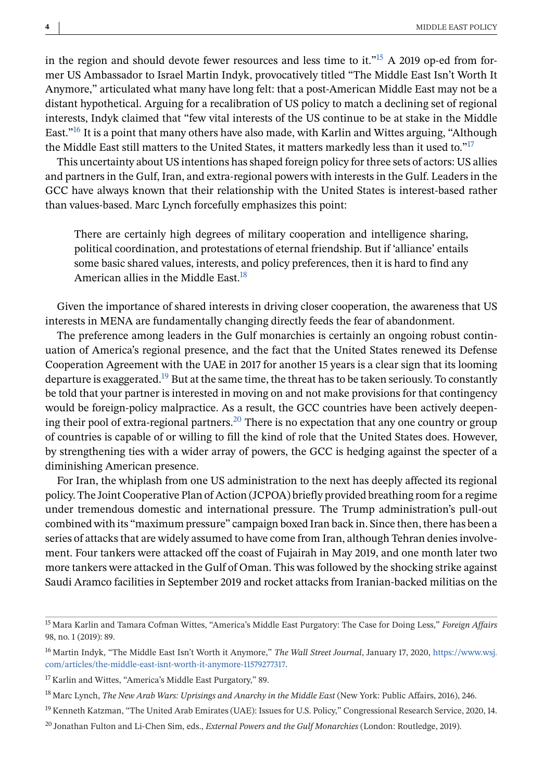in the region and should devote fewer resources and less time to it."<sup>15</sup> A 2019 op-ed from former US Ambassador to Israel Martin Indyk, provocatively titled "The Middle East Isn't Worth It Anymore," articulated what many have long felt: that a post-American Middle East may not be a distant hypothetical. Arguing for a recalibration of US policy to match a declining set of regional interests, Indyk claimed that "few vital interests of the US continue to be at stake in the Middle East."16 It is a point that many others have also made, with Karlin and Wittes arguing, "Although the Middle East still matters to the United States, it matters markedly less than it used to."17

This uncertainty about US intentions has shaped foreign policy for three sets of actors: US allies and partners in the Gulf, Iran, and extra-regional powers with interests in the Gulf. Leaders in the GCC have always known that their relationship with the United States is interest-based rather than values-based. Marc Lynch forcefully emphasizes this point:

There are certainly high degrees of military cooperation and intelligence sharing, political coordination, and protestations of eternal friendship. But if 'alliance' entails some basic shared values, interests, and policy preferences, then it is hard to find any American allies in the Middle East.<sup>18</sup>

Given the importance of shared interests in driving closer cooperation, the awareness that US interests in MENA are fundamentally changing directly feeds the fear of abandonment.

The preference among leaders in the Gulf monarchies is certainly an ongoing robust continuation of America's regional presence, and the fact that the United States renewed its Defense Cooperation Agreement with the UAE in 2017 for another 15 years is a clear sign that its looming departure is exaggerated.<sup>19</sup> But at the same time, the threat has to be taken seriously. To constantly be told that your partner is interested in moving on and not make provisions for that contingency would be foreign-policy malpractice. As a result, the GCC countries have been actively deepening their pool of extra-regional partners.<sup>20</sup> There is no expectation that any one country or group of countries is capable of or willing to fill the kind of role that the United States does. However, by strengthening ties with a wider array of powers, the GCC is hedging against the specter of a diminishing American presence.

For Iran, the whiplash from one US administration to the next has deeply affected its regional policy. The Joint Cooperative Plan of Action (JCPOA) briefly provided breathing room for a regime under tremendous domestic and international pressure. The Trump administration's pull-out combined with its "maximum pressure" campaign boxed Iran back in. Since then, there has been a series of attacks that are widely assumed to have come from Iran, although Tehran denies involvement. Four tankers were attacked off the coast of Fujairah in May 2019, and one month later two more tankers were attacked in the Gulf of Oman. This was followed by the shocking strike against Saudi Aramco facilities in September 2019 and rocket attacks from Iranian-backed militias on the

<sup>15</sup> Mara Karlin and Tamara Cofman Wittes, "America's Middle East Purgatory: The Case for Doing Less," *Foreign Affairs* 98, no. 1 (2019): 89.

<sup>16</sup> Martin Indyk, "The Middle East Isn't Worth it Anymore," *The Wall Street Journal*, January 17, 2020, [https://www.wsj.](https://www.wsj.com/articles/the-middle-east-isnt-worth-it-anymore-11579277317) [com/articles/the-middle-east-isnt-worth-it-anymore-11579277317.](https://www.wsj.com/articles/the-middle-east-isnt-worth-it-anymore-11579277317)

<sup>&</sup>lt;sup>17</sup> Karlin and Wittes, "America's Middle East Purgatory," 89.

<sup>18</sup> Marc Lynch, *The New Arab Wars: Uprisings and Anarchy in the Middle East* (New York: Public Affairs, 2016), 246.

<sup>&</sup>lt;sup>19</sup> Kenneth Katzman, "The United Arab Emirates (UAE): Issues for U.S. Policy," Congressional Research Service, 2020, 14.

<sup>20</sup> Jonathan Fulton and Li-Chen Sim, eds., *External Powers and the Gulf Monarchies* (London: Routledge, 2019).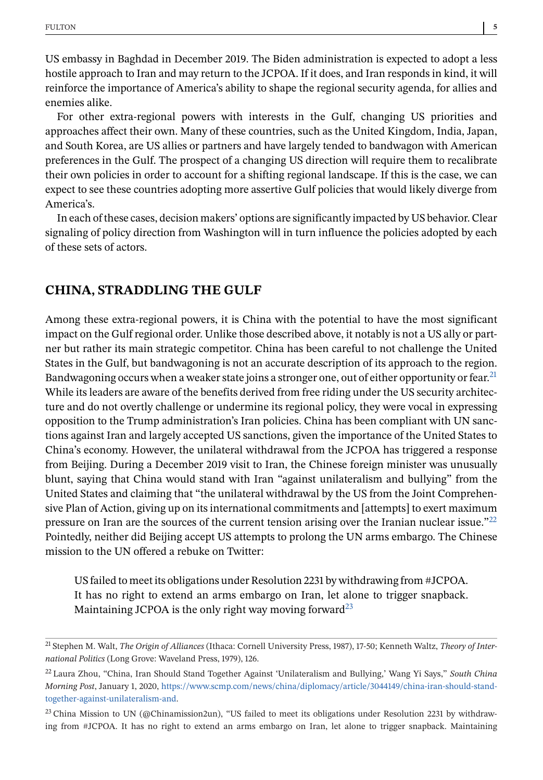US embassy in Baghdad in December 2019. The Biden administration is expected to adopt a less hostile approach to Iran and may return to the JCPOA. If it does, and Iran responds in kind, it will reinforce the importance of America's ability to shape the regional security agenda, for allies and enemies alike.

For other extra-regional powers with interests in the Gulf, changing US priorities and approaches affect their own. Many of these countries, such as the United Kingdom, India, Japan, and South Korea, are US allies or partners and have largely tended to bandwagon with American preferences in the Gulf. The prospect of a changing US direction will require them to recalibrate their own policies in order to account for a shifting regional landscape. If this is the case, we can expect to see these countries adopting more assertive Gulf policies that would likely diverge from America's.

In each of these cases, decision makers' options are significantly impacted by US behavior. Clear signaling of policy direction from Washington will in turn influence the policies adopted by each of these sets of actors.

## **CHINA, STRADDLING THE GULF**

Among these extra-regional powers, it is China with the potential to have the most significant impact on the Gulf regional order. Unlike those described above, it notably is not a US ally or partner but rather its main strategic competitor. China has been careful to not challenge the United States in the Gulf, but bandwagoning is not an accurate description of its approach to the region. Bandwagoning occurs when a weaker state joins a stronger one, out of either opportunity or fear.<sup>21</sup> While its leaders are aware of the benefits derived from free riding under the US security architecture and do not overtly challenge or undermine its regional policy, they were vocal in expressing opposition to the Trump administration's Iran policies. China has been compliant with UN sanctions against Iran and largely accepted US sanctions, given the importance of the United States to China's economy. However, the unilateral withdrawal from the JCPOA has triggered a response from Beijing. During a December 2019 visit to Iran, the Chinese foreign minister was unusually blunt, saying that China would stand with Iran "against unilateralism and bullying" from the United States and claiming that "the unilateral withdrawal by the US from the Joint Comprehensive Plan of Action, giving up on its international commitments and [attempts] to exert maximum pressure on Iran are the sources of the current tension arising over the Iranian nuclear issue."22 Pointedly, neither did Beijing accept US attempts to prolong the UN arms embargo. The Chinese mission to the UN offered a rebuke on Twitter:

US failed to meet its obligations under Resolution 2231 by withdrawing from #JCPOA. It has no right to extend an arms embargo on Iran, let alone to trigger snapback. Maintaining JCPOA is the only right way moving forward<sup>23</sup>

<sup>21</sup> Stephen M. Walt, *The Origin of Alliances* (Ithaca: Cornell University Press, 1987), 17-50; Kenneth Waltz, *Theory of International Politics* (Long Grove: Waveland Press, 1979), 126.

<sup>22</sup> Laura Zhou, "China, Iran Should Stand Together Against 'Unilateralism and Bullying,' Wang Yi Says," *South China Morning Post*, January 1, 2020, [https://www.scmp.com/news/china/diplomacy/article/3044149/china-iran-should-stand](https://www.scmp.com/news/china/diplomacy/article/3044149/china-iran-should-stand-together-against-unilateralism-and)[together-against-unilateralism-and.](https://www.scmp.com/news/china/diplomacy/article/3044149/china-iran-should-stand-together-against-unilateralism-and)

<sup>&</sup>lt;sup>23</sup> China Mission to UN (@Chinamission2un), "US failed to meet its obligations under Resolution 2231 by withdrawing from #JCPOA. It has no right to extend an arms embargo on Iran, let alone to trigger snapback. Maintaining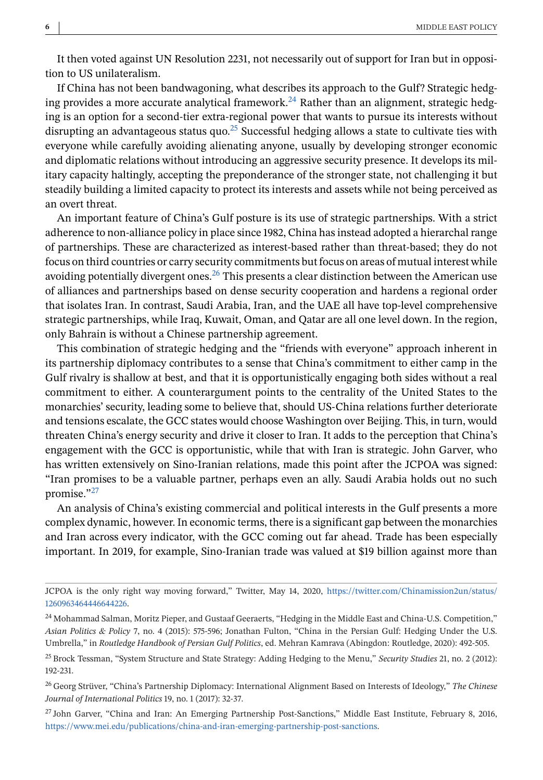It then voted against UN Resolution 2231, not necessarily out of support for Iran but in opposition to US unilateralism.

If China has not been bandwagoning, what describes its approach to the Gulf? Strategic hedging provides a more accurate analytical framework.<sup>24</sup> Rather than an alignment, strategic hedging is an option for a second-tier extra-regional power that wants to pursue its interests without disrupting an advantageous status quo.<sup>25</sup> Successful hedging allows a state to cultivate ties with everyone while carefully avoiding alienating anyone, usually by developing stronger economic and diplomatic relations without introducing an aggressive security presence. It develops its military capacity haltingly, accepting the preponderance of the stronger state, not challenging it but steadily building a limited capacity to protect its interests and assets while not being perceived as an overt threat.

An important feature of China's Gulf posture is its use of strategic partnerships. With a strict adherence to non-alliance policy in place since 1982, China has instead adopted a hierarchal range of partnerships. These are characterized as interest-based rather than threat-based; they do not focus on third countries or carry security commitments but focus on areas of mutual interest while avoiding potentially divergent ones.<sup>26</sup> This presents a clear distinction between the American use of alliances and partnerships based on dense security cooperation and hardens a regional order that isolates Iran. In contrast, Saudi Arabia, Iran, and the UAE all have top-level comprehensive strategic partnerships, while Iraq, Kuwait, Oman, and Qatar are all one level down. In the region, only Bahrain is without a Chinese partnership agreement.

This combination of strategic hedging and the "friends with everyone" approach inherent in its partnership diplomacy contributes to a sense that China's commitment to either camp in the Gulf rivalry is shallow at best, and that it is opportunistically engaging both sides without a real commitment to either. A counterargument points to the centrality of the United States to the monarchies' security, leading some to believe that, should US-China relations further deteriorate and tensions escalate, the GCC states would choose Washington over Beijing. This, in turn, would threaten China's energy security and drive it closer to Iran. It adds to the perception that China's engagement with the GCC is opportunistic, while that with Iran is strategic. John Garver, who has written extensively on Sino-Iranian relations, made this point after the JCPOA was signed: "Iran promises to be a valuable partner, perhaps even an ally. Saudi Arabia holds out no such promise."27

An analysis of China's existing commercial and political interests in the Gulf presents a more complex dynamic, however. In economic terms, there is a significant gap between the monarchies and Iran across every indicator, with the GCC coming out far ahead. Trade has been especially important. In 2019, for example, Sino-Iranian trade was valued at \$19 billion against more than

JCPOA is the only right way moving forward," Twitter, May 14, 2020, [https://twitter.com/Chinamission2un/status/](https://twitter.com/Chinamission2un/status/1260963464446644226) [1260963464446644226.](https://twitter.com/Chinamission2un/status/1260963464446644226)

<sup>&</sup>lt;sup>24</sup> Mohammad Salman, Moritz Pieper, and Gustaaf Geeraerts, "Hedging in the Middle East and China-U.S. Competition," *Asian Politics & Policy* 7, no. 4 (2015): 575-596; Jonathan Fulton, "China in the Persian Gulf: Hedging Under the U.S. Umbrella," in *Routledge Handbook of Persian Gulf Politics*, ed. Mehran Kamrava (Abingdon: Routledge, 2020): 492-505.

<sup>25</sup> Brock Tessman, "System Structure and State Strategy: Adding Hedging to the Menu," *Security Studies* 21, no. 2 (2012): 192-231.

<sup>26</sup> Georg Strüver, "China's Partnership Diplomacy: International Alignment Based on Interests of Ideology," *The Chinese Journal of International Politics* 19, no. 1 (2017): 32-37.

<sup>27</sup> John Garver, "China and Iran: An Emerging Partnership Post-Sanctions," Middle East Institute, February 8, 2016, [https://www.mei.edu/publications/china-and-iran-emerging-partnership-post-sanctions.](https://www.mei.edu/publications/china-and-iran-emerging-partnership-post-sanctions)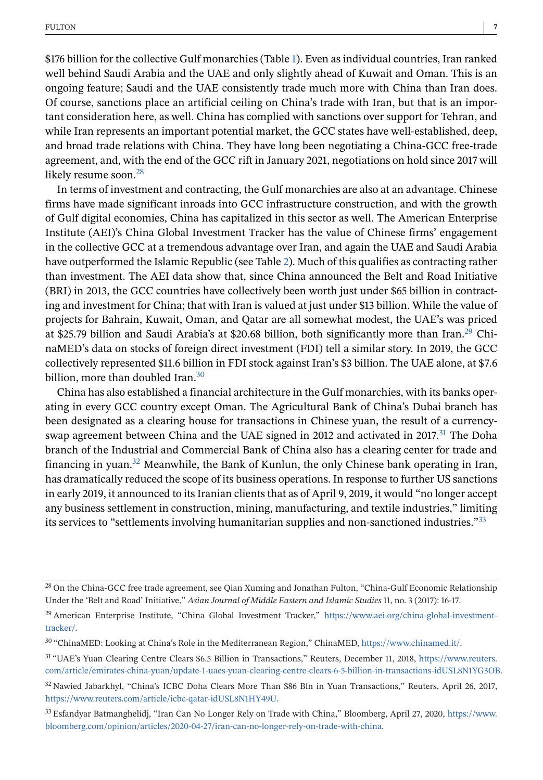\$176 billion for the collective Gulf monarchies (Table [1\)](#page-8-0). Even as individual countries, Iran ranked well behind Saudi Arabia and the UAE and only slightly ahead of Kuwait and Oman. This is an ongoing feature; Saudi and the UAE consistently trade much more with China than Iran does. Of course, sanctions place an artificial ceiling on China's trade with Iran, but that is an important consideration here, as well. China has complied with sanctions over support for Tehran, and while Iran represents an important potential market, the GCC states have well-established, deep, and broad trade relations with China. They have long been negotiating a China-GCC free-trade agreement, and, with the end of the GCC rift in January 2021, negotiations on hold since 2017 will likely resume soon.<sup>28</sup>

In terms of investment and contracting, the Gulf monarchies are also at an advantage. Chinese firms have made significant inroads into GCC infrastructure construction, and with the growth of Gulf digital economies, China has capitalized in this sector as well. The American Enterprise Institute (AEI)'s China Global Investment Tracker has the value of Chinese firms' engagement in the collective GCC at a tremendous advantage over Iran, and again the UAE and Saudi Arabia have outperformed the Islamic Republic (see Table [2\)](#page-9-0). Much of this qualifies as contracting rather than investment. The AEI data show that, since China announced the Belt and Road Initiative (BRI) in 2013, the GCC countries have collectively been worth just under \$65 billion in contracting and investment for China; that with Iran is valued at just under \$13 billion. While the value of projects for Bahrain, Kuwait, Oman, and Qatar are all somewhat modest, the UAE's was priced at \$25.79 billion and Saudi Arabia's at \$20.68 billion, both significantly more than Iran.<sup>29</sup> ChinaMED's data on stocks of foreign direct investment (FDI) tell a similar story. In 2019, the GCC collectively represented \$11.6 billion in FDI stock against Iran's \$3 billion. The UAE alone, at \$7.6 billion, more than doubled Iran.<sup>30</sup>

China has also established a financial architecture in the Gulf monarchies, with its banks operating in every GCC country except Oman. The Agricultural Bank of China's Dubai branch has been designated as a clearing house for transactions in Chinese yuan, the result of a currencyswap agreement between China and the UAE signed in 2012 and activated in 2017.<sup>31</sup> The Doha branch of the Industrial and Commercial Bank of China also has a clearing center for trade and financing in yuan.<sup>32</sup> Meanwhile, the Bank of Kunlun, the only Chinese bank operating in Iran, has dramatically reduced the scope of its business operations. In response to further US sanctions in early 2019, it announced to its Iranian clients that as of April 9, 2019, it would "no longer accept any business settlement in construction, mining, manufacturing, and textile industries," limiting its services to "settlements involving humanitarian supplies and non-sanctioned industries."33

<sup>&</sup>lt;sup>28</sup> On the China-GCC free trade agreement, see Qian Xuming and Jonathan Fulton, "China-Gulf Economic Relationship Under the 'Belt and Road' Initiative," *Asian Journal of Middle Eastern and Islamic Studies* 11, no. 3 (2017): 16-17.

<sup>29</sup> American Enterprise Institute, "China Global Investment Tracker," [https://www.aei.org/china-global-investment](https://www.aei.org/china-global-investment-tracker/)[tracker/.](https://www.aei.org/china-global-investment-tracker/)

<sup>30</sup> "ChinaMED: Looking at China's Role in the Mediterranean Region," ChinaMED, [https://www.chinamed.it/.](https://www.chinamed.it/)

<sup>31</sup> "UAE's Yuan Clearing Centre Clears \$6.5 Billion in Transactions," Reuters, December 11, 2018, [https://www.reuters.](https://www.reuters.com/article/emirates-china-yuan/update-1-uaes-yuan-clearing-centre-clears-6-5-billion-in-transactions-idUSL8N1YG3OB) [com/article/emirates-china-yuan/update-1-uaes-yuan-clearing-centre-clears-6-5-billion-in-transactions-idUSL8N1YG3OB.](https://www.reuters.com/article/emirates-china-yuan/update-1-uaes-yuan-clearing-centre-clears-6-5-billion-in-transactions-idUSL8N1YG3OB)

<sup>32</sup> Nawied Jabarkhyl, "China's ICBC Doha Clears More Than \$86 Bln in Yuan Transactions," Reuters, April 26, 2017, [https://www.reuters.com/article/icbc-qatar-idUSL8N1HY49U.](https://www.reuters.com/article/icbc-qatar-idUSL8N1HY49U)

<sup>33</sup> Esfandyar Batmanghelidj, "Iran Can No Longer Rely on Trade with China," Bloomberg, April 27, 2020, [https://www.](https://www.bloomberg.com/opinion/articles/2020-04-27/iran-can-no-longer-rely-on-trade-with-china) [bloomberg.com/opinion/articles/2020-04-27/iran-can-no-longer-rely-on-trade-with-china.](https://www.bloomberg.com/opinion/articles/2020-04-27/iran-can-no-longer-rely-on-trade-with-china)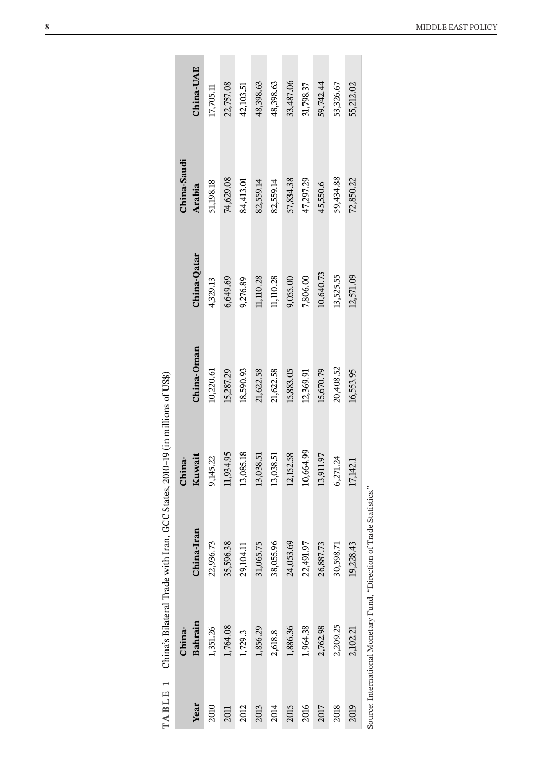| l                                               |
|-------------------------------------------------|
|                                                 |
|                                                 |
|                                                 |
|                                                 |
|                                                 |
|                                                 |
|                                                 |
|                                                 |
|                                                 |
|                                                 |
|                                                 |
|                                                 |
|                                                 |
|                                                 |
|                                                 |
|                                                 |
| ׅׅׅׅ֧֚֚֚֚֚֚֚֚֚֚֚֚֚֚֚֚֚֚֚֚֚֚֚֚֚֚֚֚֚֚֚֡֝֝֝֡֓֡֡֓֝֬ |
| I                                               |
|                                                 |
| l                                               |
|                                                 |
| l                                               |
|                                                 |
|                                                 |
|                                                 |
|                                                 |
| Ï                                               |
|                                                 |
|                                                 |
|                                                 |
| l                                               |
| l                                               |
|                                                 |
| j                                               |
|                                                 |
|                                                 |
|                                                 |
|                                                 |
|                                                 |
|                                                 |
|                                                 |
|                                                 |
|                                                 |
|                                                 |
|                                                 |
|                                                 |
|                                                 |
|                                                 |
|                                                 |
|                                                 |
| l                                               |
|                                                 |
|                                                 |
|                                                 |
|                                                 |
|                                                 |
|                                                 |
|                                                 |
|                                                 |
|                                                 |
|                                                 |
|                                                 |
|                                                 |
|                                                 |
|                                                 |
|                                                 |
|                                                 |
|                                                 |
| i                                               |
|                                                 |
|                                                 |
|                                                 |
|                                                 |
| 1                                               |
|                                                 |
|                                                 |
|                                                 |
|                                                 |
|                                                 |
|                                                 |
| $\frac{1}{2}$                                   |

<span id="page-8-0"></span>

|      |                   | TABLE 1 China's Bilateral Trade with Iran, GCC States, 2010-19 (in millions of US\$) |                  |            |               |                       |             |
|------|-------------------|--------------------------------------------------------------------------------------|------------------|------------|---------------|-----------------------|-------------|
| Year | Bahrain<br>China- | na-Iran<br>Chir                                                                      | Kuwait<br>China- | China-Oman | China-Qatar   | China-Saudi<br>Arabia | China-UAE   |
|      |                   |                                                                                      |                  |            |               |                       |             |
| 2010 | 1,351.26          | 22,936.73                                                                            | 9,145.22         | 10,220.61  | 4,329.13      | 51,198.18             | $17,705.11$ |
| 2011 | 1,764.08          | 35,596.38                                                                            | 11,934.95        | 15,287.29  | 6,649.69      | 74,629.08             | 22,757.08   |
| 2012 | 1,729.3           | 29,104.11                                                                            | 13,085.18        | 18,590.93  | 9,276.89      | 84,413.01             | 42,103.51   |
| 2013 | 1,856.29          | 31,065.75                                                                            | 13,038.51        | 21,622.58  | $11,\!110.28$ | 82,559.14             | 48,398.63   |
| 2014 | 2,618.8           | 38,055.96                                                                            | 13,038.51        | 21,622.58  | 11,110.28     | 82,559.14             | 48,398.63   |
| 2015 | 1,886.36          | 24,053.69                                                                            | 12,152.58        | 15,883.05  | 9,055.00      | 57,834.38             | 33,487.06   |
| 2016 | 1.964.38          | 22,491.97                                                                            | 10,664.99        | 12,369.91  | 7,806.00      | 47,297.29             | 31,798.37   |
| 2017 | 2,762.98          | 26,887.73                                                                            | 13,911.97        | 15,670.79  | 10,640.73     | 45,550.6              | 59,742.44   |
| 2018 | 2,209.25          | 30,598.71                                                                            | 6,271.24         | 20,408.52  | 13,525.55     | 59,434.88             | 53,326.67   |
| 2019 | 2,102.21          | 19,228.43                                                                            | 17,142.1         | 16,553.95  | 12,571.09     | 72,850.22             | 55,212.02   |
|      |                   | Source: International Monetary Fund, "Direction of Trade Statistics."                |                  |            |               |                       |             |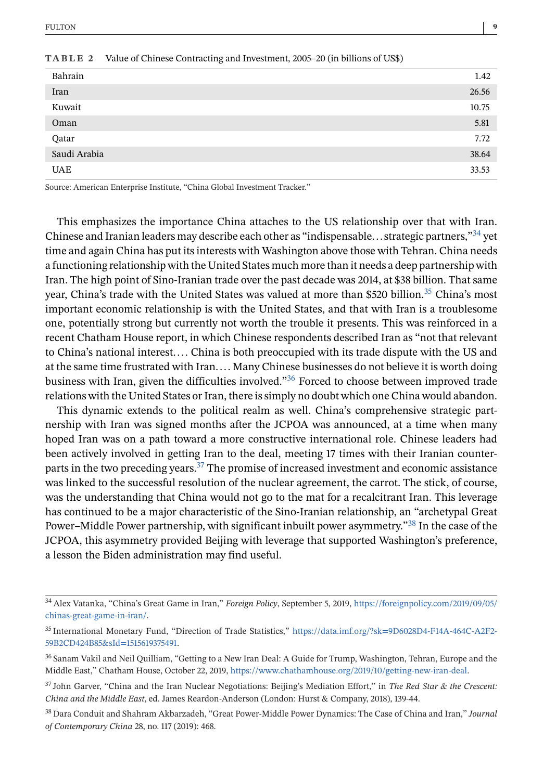| Bahrain      | 1.42  |
|--------------|-------|
| Iran         | 26.56 |
| Kuwait       | 10.75 |
| Oman         | 5.81  |
| Qatar        | 7.72  |
| Saudi Arabia | 38.64 |
| <b>UAE</b>   | 33.53 |

<span id="page-9-0"></span>

| <b>TABLE 2</b> Value of Chinese Contracting and Investment, 2005–20 (in billions of US\$) |  |
|-------------------------------------------------------------------------------------------|--|
|-------------------------------------------------------------------------------------------|--|

Source: American Enterprise Institute, "China Global Investment Tracker."

This emphasizes the importance China attaches to the US relationship over that with Iran. Chinese and Iranian leaders may describe each other as "indispensable... strategic partners,"34 yet time and again China has put its interests with Washington above those with Tehran. China needs a functioning relationship with the United States much more than it needs a deep partnership with Iran. The high point of Sino-Iranian trade over the past decade was 2014, at \$38 billion. That same year, China's trade with the United States was valued at more than \$520 billion.<sup>35</sup> China's most important economic relationship is with the United States, and that with Iran is a troublesome one, potentially strong but currently not worth the trouble it presents. This was reinforced in a recent Chatham House report, in which Chinese respondents described Iran as "not that relevant to China's national interest.... China is both preoccupied with its trade dispute with the US and at the same time frustrated with Iran.... Many Chinese businesses do not believe it is worth doing business with Iran, given the difficulties involved."36 Forced to choose between improved trade relations with the United States or Iran, there is simply no doubt which one China would abandon.

This dynamic extends to the political realm as well. China's comprehensive strategic partnership with Iran was signed months after the JCPOA was announced, at a time when many hoped Iran was on a path toward a more constructive international role. Chinese leaders had been actively involved in getting Iran to the deal, meeting 17 times with their Iranian counterparts in the two preceding years. $37$  The promise of increased investment and economic assistance was linked to the successful resolution of the nuclear agreement, the carrot. The stick, of course, was the understanding that China would not go to the mat for a recalcitrant Iran. This leverage has continued to be a major characteristic of the Sino-Iranian relationship, an "archetypal Great Power–Middle Power partnership, with significant inbuilt power asymmetry."38 In the case of the JCPOA, this asymmetry provided Beijing with leverage that supported Washington's preference, a lesson the Biden administration may find useful.

<sup>34</sup> Alex Vatanka, "China's Great Game in Iran," *Foreign Policy*, September 5, 2019, [https://foreignpolicy.com/2019/09/05/](https://foreignpolicy.com/2019/09/05/chinas-great-game-in-iran/) [chinas-great-game-in-iran/.](https://foreignpolicy.com/2019/09/05/chinas-great-game-in-iran/)

<sup>35</sup> International Monetary Fund, "Direction of Trade Statistics," [https://data.imf.org/?sk=9D6028D4-F14A-464C-A2F2-](https://data.imf.org/?sk=9D6028D4-F14A-464C-A2F2-59B2CD424B85&sId=1515619375491) [59B2CD424B85&sId=1515619375491.](https://data.imf.org/?sk=9D6028D4-F14A-464C-A2F2-59B2CD424B85&sId=1515619375491)

<sup>36</sup> Sanam Vakil and Neil Quilliam, "Getting to a New Iran Deal: A Guide for Trump, Washington, Tehran, Europe and the Middle East," Chatham House, October 22, 2019, [https://www.chathamhouse.org/2019/10/getting-new-iran-deal.](https://www.chathamhouse.org/2019/10/getting-new-iran-deal)

<sup>37</sup> John Garver, "China and the Iran Nuclear Negotiations: Beijing's Mediation Effort," in *The Red Star & the Crescent: China and the Middle East*, ed. James Reardon-Anderson (London: Hurst & Company, 2018), 139-44.

<sup>38</sup> Dara Conduit and Shahram Akbarzadeh, "Great Power-Middle Power Dynamics: The Case of China and Iran," *Journal of Contemporary China* 28, no. 117 (2019): 468.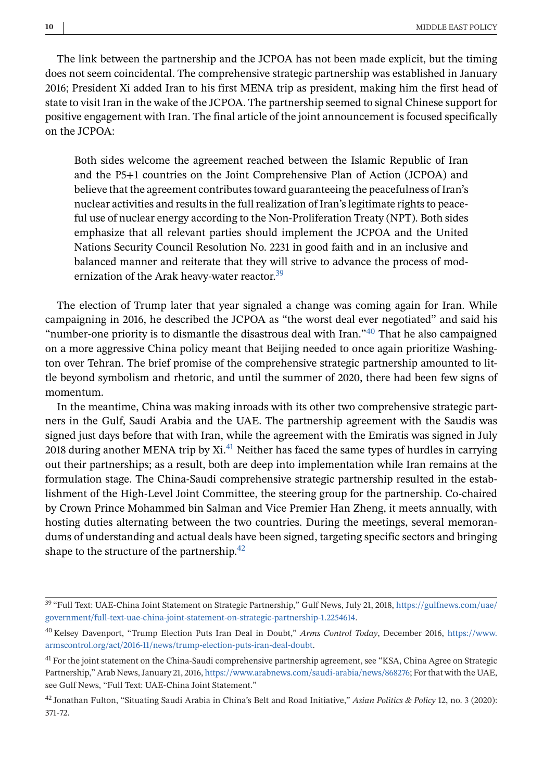The link between the partnership and the JCPOA has not been made explicit, but the timing does not seem coincidental. The comprehensive strategic partnership was established in January 2016; President Xi added Iran to his first MENA trip as president, making him the first head of state to visit Iran in the wake of the JCPOA. The partnership seemed to signal Chinese support for positive engagement with Iran. The final article of the joint announcement is focused specifically on the JCPOA:

Both sides welcome the agreement reached between the Islamic Republic of Iran and the P5+1 countries on the Joint Comprehensive Plan of Action (JCPOA) and believe that the agreement contributes toward guaranteeing the peacefulness of Iran's nuclear activities and results in the full realization of Iran's legitimate rights to peaceful use of nuclear energy according to the Non-Proliferation Treaty (NPT). Both sides emphasize that all relevant parties should implement the JCPOA and the United Nations Security Council Resolution No. 2231 in good faith and in an inclusive and balanced manner and reiterate that they will strive to advance the process of modernization of the Arak heavy-water reactor.<sup>39</sup>

The election of Trump later that year signaled a change was coming again for Iran. While campaigning in 2016, he described the JCPOA as "the worst deal ever negotiated" and said his "number-one priority is to dismantle the disastrous deal with Iran."<sup>40</sup> That he also campaigned on a more aggressive China policy meant that Beijing needed to once again prioritize Washington over Tehran. The brief promise of the comprehensive strategic partnership amounted to little beyond symbolism and rhetoric, and until the summer of 2020, there had been few signs of momentum.

In the meantime, China was making inroads with its other two comprehensive strategic partners in the Gulf, Saudi Arabia and the UAE. The partnership agreement with the Saudis was signed just days before that with Iran, while the agreement with the Emiratis was signed in July 2018 during another MENA trip by  $Xi^{41}$  Neither has faced the same types of hurdles in carrying out their partnerships; as a result, both are deep into implementation while Iran remains at the formulation stage. The China-Saudi comprehensive strategic partnership resulted in the establishment of the High-Level Joint Committee, the steering group for the partnership. Co-chaired by Crown Prince Mohammed bin Salman and Vice Premier Han Zheng, it meets annually, with hosting duties alternating between the two countries. During the meetings, several memorandums of understanding and actual deals have been signed, targeting specific sectors and bringing shape to the structure of the partnership.<sup>42</sup>

<sup>39</sup> "Full Text: UAE-China Joint Statement on Strategic Partnership," Gulf News, July 21, 2018, [https://gulfnews.com/uae/](https://gulfnews.com/uae/government/full-text-uae-china-joint-statement-on-strategic-partnership-1.2254614) [government/full-text-uae-china-joint-statement-on-strategic-partnership-1.2254614.](https://gulfnews.com/uae/government/full-text-uae-china-joint-statement-on-strategic-partnership-1.2254614)

<sup>40</sup> Kelsey Davenport, "Trump Election Puts Iran Deal in Doubt," *Arms Control Today*, December 2016, [https://www.](https://www.armscontrol.org/act/2016-11/news/trump-election-puts-iran-deal-doubt) [armscontrol.org/act/2016-11/news/trump-election-puts-iran-deal-doubt.](https://www.armscontrol.org/act/2016-11/news/trump-election-puts-iran-deal-doubt)

<sup>&</sup>lt;sup>41</sup> For the joint statement on the China-Saudi comprehensive partnership agreement, see "KSA, China Agree on Strategic Partnership," Arab News, January 21, 2016, [https://www.arabnews.com/saudi-arabia/news/868276;](https://www.arabnews.com/saudi-arabia/news/868276) For that with the UAE, see Gulf News, "Full Text: UAE-China Joint Statement."

<sup>42</sup> Jonathan Fulton, "Situating Saudi Arabia in China's Belt and Road Initiative," *Asian Politics & Policy* 12, no. 3 (2020): 371-72.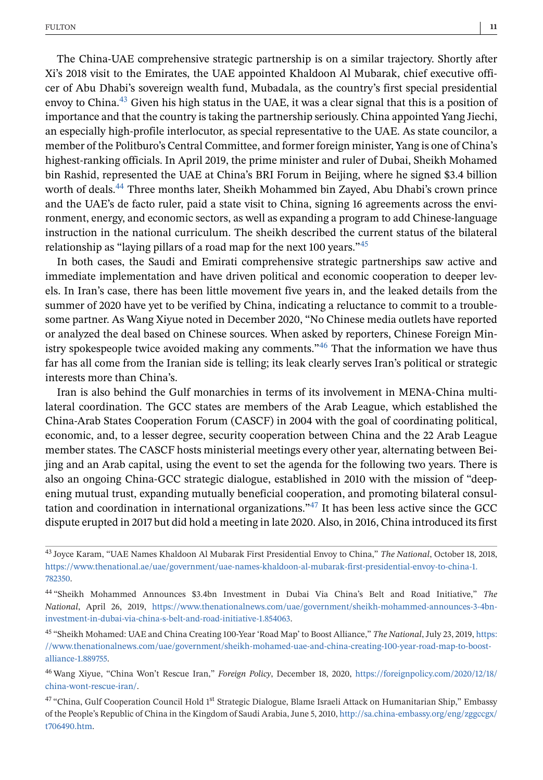The China-UAE comprehensive strategic partnership is on a similar trajectory. Shortly after Xi's 2018 visit to the Emirates, the UAE appointed Khaldoon Al Mubarak, chief executive officer of Abu Dhabi's sovereign wealth fund, Mubadala, as the country's first special presidential envoy to China.<sup>43</sup> Given his high status in the UAE, it was a clear signal that this is a position of importance and that the country is taking the partnership seriously. China appointed Yang Jiechi, an especially high-profile interlocutor, as special representative to the UAE. As state councilor, a member of the Politburo's Central Committee, and former foreign minister, Yang is one of China's highest-ranking officials. In April 2019, the prime minister and ruler of Dubai, Sheikh Mohamed bin Rashid, represented the UAE at China's BRI Forum in Beijing, where he signed \$3.4 billion worth of deals.<sup>44</sup> Three months later, Sheikh Mohammed bin Zayed, Abu Dhabi's crown prince and the UAE's de facto ruler, paid a state visit to China, signing 16 agreements across the environment, energy, and economic sectors, as well as expanding a program to add Chinese-language instruction in the national curriculum. The sheikh described the current status of the bilateral relationship as "laying pillars of a road map for the next 100 years."<sup>45</sup>

In both cases, the Saudi and Emirati comprehensive strategic partnerships saw active and immediate implementation and have driven political and economic cooperation to deeper levels. In Iran's case, there has been little movement five years in, and the leaked details from the summer of 2020 have yet to be verified by China, indicating a reluctance to commit to a troublesome partner. As Wang Xiyue noted in December 2020, "No Chinese media outlets have reported or analyzed the deal based on Chinese sources. When asked by reporters, Chinese Foreign Ministry spokespeople twice avoided making any comments.<sup> $n_{46}$ </sup> That the information we have thus far has all come from the Iranian side is telling; its leak clearly serves Iran's political or strategic interests more than China's.

Iran is also behind the Gulf monarchies in terms of its involvement in MENA-China multilateral coordination. The GCC states are members of the Arab League, which established the China-Arab States Cooperation Forum (CASCF) in 2004 with the goal of coordinating political, economic, and, to a lesser degree, security cooperation between China and the 22 Arab League member states. The CASCF hosts ministerial meetings every other year, alternating between Beijing and an Arab capital, using the event to set the agenda for the following two years. There is also an ongoing China-GCC strategic dialogue, established in 2010 with the mission of "deepening mutual trust, expanding mutually beneficial cooperation, and promoting bilateral consultation and coordination in international organizations."47 It has been less active since the GCC dispute erupted in 2017 but did hold a meeting in late 2020. Also, in 2016, China introduced its first

<sup>43</sup> Joyce Karam, "UAE Names Khaldoon Al Mubarak First Presidential Envoy to China," *The National*, October 18, 2018, [https://www.thenational.ae/uae/government/uae-names-khaldoon-al-mubarak-first-presidential-envoy-to-china-1.](https://www.thenational.ae/uae/government/uae-names-khaldoon-al-mubarak-first-presidential-envoy-to-china-1.782350) [782350.](https://www.thenational.ae/uae/government/uae-names-khaldoon-al-mubarak-first-presidential-envoy-to-china-1.782350)

<sup>44</sup> "Sheikh Mohammed Announces \$3.4bn Investment in Dubai Via China's Belt and Road Initiative," *The National*, April 26, 2019, [https://www.thenationalnews.com/uae/government/sheikh-mohammed-announces-3-4bn](https://www.thenationalnews.com/uae/government/sheikh-mohammed-announces-3-4bn-investment-in-dubai-via-china-s-belt-and-road-initiative-1.854063)[investment-in-dubai-via-china-s-belt-and-road-initiative-1.854063.](https://www.thenationalnews.com/uae/government/sheikh-mohammed-announces-3-4bn-investment-in-dubai-via-china-s-belt-and-road-initiative-1.854063)

<sup>45</sup> "Sheikh Mohamed: UAE and China Creating 100-Year 'Road Map' to Boost Alliance," *The National*, July 23, 2019, [https:](https://www.thenationalnews.com/uae/government/sheikh-mohamed-uae-and-china-creating-100-year-road-map-to-boost-alliance-1.889755) [//www.thenationalnews.com/uae/government/sheikh-mohamed-uae-and-china-creating-100-year-road-map-to-boost](https://www.thenationalnews.com/uae/government/sheikh-mohamed-uae-and-china-creating-100-year-road-map-to-boost-alliance-1.889755)[alliance-1.889755.](https://www.thenationalnews.com/uae/government/sheikh-mohamed-uae-and-china-creating-100-year-road-map-to-boost-alliance-1.889755)

<sup>46</sup> Wang Xiyue, "China Won't Rescue Iran," *Foreign Policy*, December 18, 2020, [https://foreignpolicy.com/2020/12/18/](https://foreignpolicy.com/2020/12/18/china-wont-rescue-iran/) [china-wont-rescue-iran/.](https://foreignpolicy.com/2020/12/18/china-wont-rescue-iran/)

<sup>47 &</sup>quot;China, Gulf Cooperation Council Hold 1st Strategic Dialogue, Blame Israeli Attack on Humanitarian Ship," Embassy of the People's Republic of China in the Kingdom of Saudi Arabia, June 5, 2010, [http://sa.china-embassy.org/eng/zggccgx/](http://sa.china-embassy.org/eng/zggccgx/t706490.htm) [t706490.htm.](http://sa.china-embassy.org/eng/zggccgx/t706490.htm)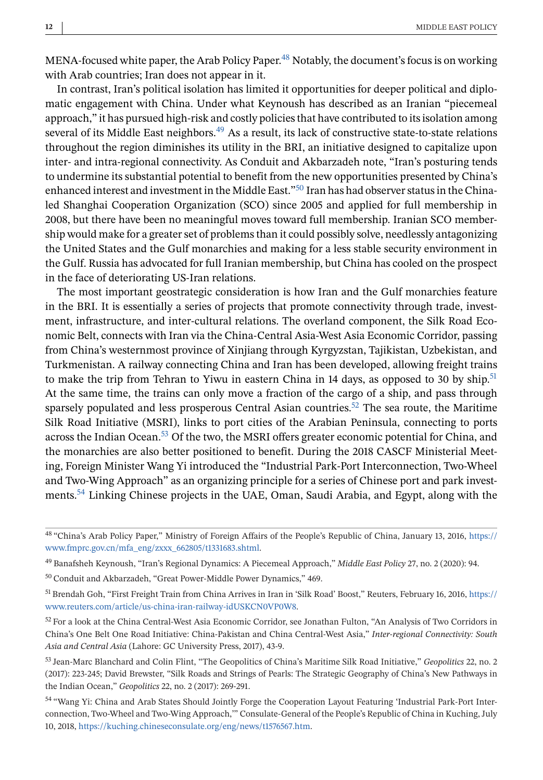MENA-focused white paper, the Arab Policy Paper.<sup>48</sup> Notably, the document's focus is on working with Arab countries; Iran does not appear in it.

In contrast, Iran's political isolation has limited it opportunities for deeper political and diplomatic engagement with China. Under what Keynoush has described as an Iranian "piecemeal approach," it has pursued high-risk and costly policies that have contributed to its isolation among several of its Middle East neighbors.<sup>49</sup> As a result, its lack of constructive state-to-state relations throughout the region diminishes its utility in the BRI, an initiative designed to capitalize upon inter- and intra-regional connectivity. As Conduit and Akbarzadeh note, "Iran's posturing tends to undermine its substantial potential to benefit from the new opportunities presented by China's enhanced interest and investment in the Middle East."<sup>50</sup> Iran has had observer status in the Chinaled Shanghai Cooperation Organization (SCO) since 2005 and applied for full membership in 2008, but there have been no meaningful moves toward full membership. Iranian SCO membership would make for a greater set of problems than it could possibly solve, needlessly antagonizing the United States and the Gulf monarchies and making for a less stable security environment in the Gulf. Russia has advocated for full Iranian membership, but China has cooled on the prospect in the face of deteriorating US-Iran relations.

The most important geostrategic consideration is how Iran and the Gulf monarchies feature in the BRI. It is essentially a series of projects that promote connectivity through trade, investment, infrastructure, and inter-cultural relations. The overland component, the Silk Road Economic Belt, connects with Iran via the China-Central Asia-West Asia Economic Corridor, passing from China's westernmost province of Xinjiang through Kyrgyzstan, Tajikistan, Uzbekistan, and Turkmenistan. A railway connecting China and Iran has been developed, allowing freight trains to make the trip from Tehran to Yiwu in eastern China in 14 days, as opposed to 30 by ship.<sup>51</sup> At the same time, the trains can only move a fraction of the cargo of a ship, and pass through sparsely populated and less prosperous Central Asian countries.<sup>52</sup> The sea route, the Maritime Silk Road Initiative (MSRI), links to port cities of the Arabian Peninsula, connecting to ports across the Indian Ocean.<sup>53</sup> Of the two, the MSRI offers greater economic potential for China, and the monarchies are also better positioned to benefit. During the 2018 CASCF Ministerial Meeting, Foreign Minister Wang Yi introduced the "Industrial Park-Port Interconnection, Two-Wheel and Two-Wing Approach" as an organizing principle for a series of Chinese port and park investments.54 Linking Chinese projects in the UAE, Oman, Saudi Arabia, and Egypt, along with the

<sup>48</sup> "China's Arab Policy Paper," Ministry of Foreign Affairs of the People's Republic of China, January 13, 2016, [https://](https://www.fmprc.gov.cn/mfa_eng/zxxx_662805/t1331683.shtml) [www.fmprc.gov.cn/mfa\\_eng/zxxx\\_662805/t1331683.shtml.](https://www.fmprc.gov.cn/mfa_eng/zxxx_662805/t1331683.shtml)

<sup>49</sup> Banafsheh Keynoush, "Iran's Regional Dynamics: A Piecemeal Approach," *Middle East Policy* 27, no. 2 (2020): 94.

<sup>50</sup> Conduit and Akbarzadeh, "Great Power-Middle Power Dynamics," 469.

<sup>&</sup>lt;sup>51</sup> Brendah Goh, "First Freight Train from China Arrives in Iran in 'Silk Road' Boost," Reuters, February 16, 2016, [https://](https://www.reuters.com/article/us-china-iran-railway-idUSKCN0VP0W8) [www.reuters.com/article/us-china-iran-railway-idUSKCN0VP0W8.](https://www.reuters.com/article/us-china-iran-railway-idUSKCN0VP0W8)

 $52$  For a look at the China Central-West Asia Economic Corridor, see Jonathan Fulton, "An Analysis of Two Corridors in China's One Belt One Road Initiative: China-Pakistan and China Central-West Asia," *Inter-regional Connectivity: South Asia and Central Asia* (Lahore: GC University Press, 2017), 43-9.

<sup>53</sup> Jean-Marc Blanchard and Colin Flint, "The Geopolitics of China's Maritime Silk Road Initiative," *Geopolitics* 22, no. 2 (2017): 223-245; David Brewster, "Silk Roads and Strings of Pearls: The Strategic Geography of China's New Pathways in the Indian Ocean," *Geopolitics* 22, no. 2 (2017): 269-291.

<sup>54</sup> "Wang Yi: China and Arab States Should Jointly Forge the Cooperation Layout Featuring 'Industrial Park-Port Interconnection, Two-Wheel and Two-Wing Approach,'" Consulate-General of the People's Republic of China in Kuching, July 10, 2018, [https://kuching.chineseconsulate.org/eng/news/t1576567.htm.](https://kuching.chineseconsulate.org/eng/news/t1576567.htm)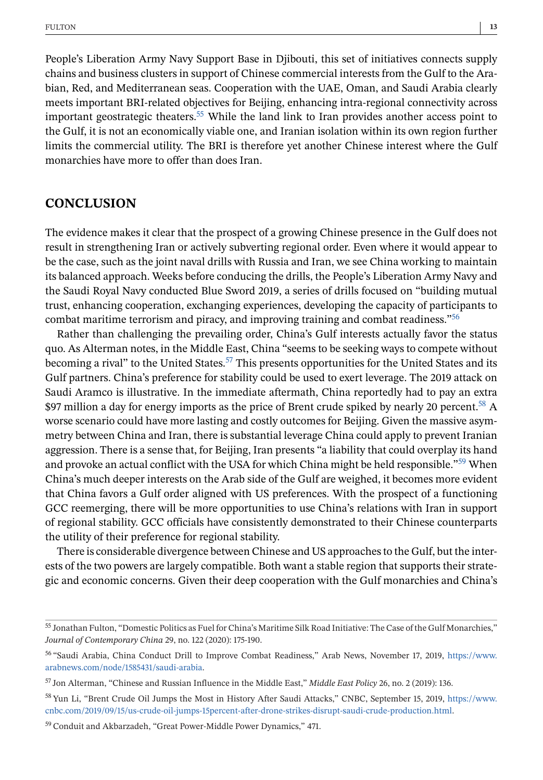People's Liberation Army Navy Support Base in Djibouti, this set of initiatives connects supply chains and business clusters in support of Chinese commercial interests from the Gulf to the Arabian, Red, and Mediterranean seas. Cooperation with the UAE, Oman, and Saudi Arabia clearly meets important BRI-related objectives for Beijing, enhancing intra-regional connectivity across important geostrategic theaters.<sup>55</sup> While the land link to Iran provides another access point to the Gulf, it is not an economically viable one, and Iranian isolation within its own region further limits the commercial utility. The BRI is therefore yet another Chinese interest where the Gulf monarchies have more to offer than does Iran.

## **CONCLUSION**

The evidence makes it clear that the prospect of a growing Chinese presence in the Gulf does not result in strengthening Iran or actively subverting regional order. Even where it would appear to be the case, such as the joint naval drills with Russia and Iran, we see China working to maintain its balanced approach. Weeks before conducing the drills, the People's Liberation Army Navy and the Saudi Royal Navy conducted Blue Sword 2019, a series of drills focused on "building mutual trust, enhancing cooperation, exchanging experiences, developing the capacity of participants to combat maritime terrorism and piracy, and improving training and combat readiness."56

Rather than challenging the prevailing order, China's Gulf interests actually favor the status quo. As Alterman notes, in the Middle East, China "seems to be seeking ways to compete without becoming a rival" to the United States.<sup>57</sup> This presents opportunities for the United States and its Gulf partners. China's preference for stability could be used to exert leverage. The 2019 attack on Saudi Aramco is illustrative. In the immediate aftermath, China reportedly had to pay an extra \$97 million a day for energy imports as the price of Brent crude spiked by nearly 20 percent.<sup>58</sup> A worse scenario could have more lasting and costly outcomes for Beijing. Given the massive asymmetry between China and Iran, there is substantial leverage China could apply to prevent Iranian aggression. There is a sense that, for Beijing, Iran presents "a liability that could overplay its hand and provoke an actual conflict with the USA for which China might be held responsible."<sup>59</sup> When China's much deeper interests on the Arab side of the Gulf are weighed, it becomes more evident that China favors a Gulf order aligned with US preferences. With the prospect of a functioning GCC reemerging, there will be more opportunities to use China's relations with Iran in support of regional stability. GCC officials have consistently demonstrated to their Chinese counterparts the utility of their preference for regional stability.

There is considerable divergence between Chinese and US approaches to the Gulf, but the interests of the two powers are largely compatible. Both want a stable region that supports their strategic and economic concerns. Given their deep cooperation with the Gulf monarchies and China's

<sup>55</sup> Jonathan Fulton, "Domestic Politics as Fuel for China's Maritime Silk Road Initiative: The Case of the Gulf Monarchies," *Journal of Contemporary China* 29, no. 122 (2020): 175-190.

<sup>56</sup> "Saudi Arabia, China Conduct Drill to Improve Combat Readiness," Arab News, November 17, 2019, [https://www.](https://www.arabnews.com/node/1585431/saudi-arabia) [arabnews.com/node/1585431/saudi-arabia.](https://www.arabnews.com/node/1585431/saudi-arabia)

<sup>57</sup> Jon Alterman, "Chinese and Russian Influence in the Middle East," *Middle East Policy* 26, no. 2 (2019): 136.

<sup>58</sup> Yun Li, "Brent Crude Oil Jumps the Most in History After Saudi Attacks," CNBC, September 15, 2019, [https://www.](https://www.cnbc.com/2019/09/15/us-crude-oil-jumps-15percent-after-drone-strikes-disrupt-saudi-crude-production.html) [cnbc.com/2019/09/15/us-crude-oil-jumps-15percent-after-drone-strikes-disrupt-saudi-crude-production.html.](https://www.cnbc.com/2019/09/15/us-crude-oil-jumps-15percent-after-drone-strikes-disrupt-saudi-crude-production.html)

<sup>59</sup> Conduit and Akbarzadeh, "Great Power-Middle Power Dynamics," 471.